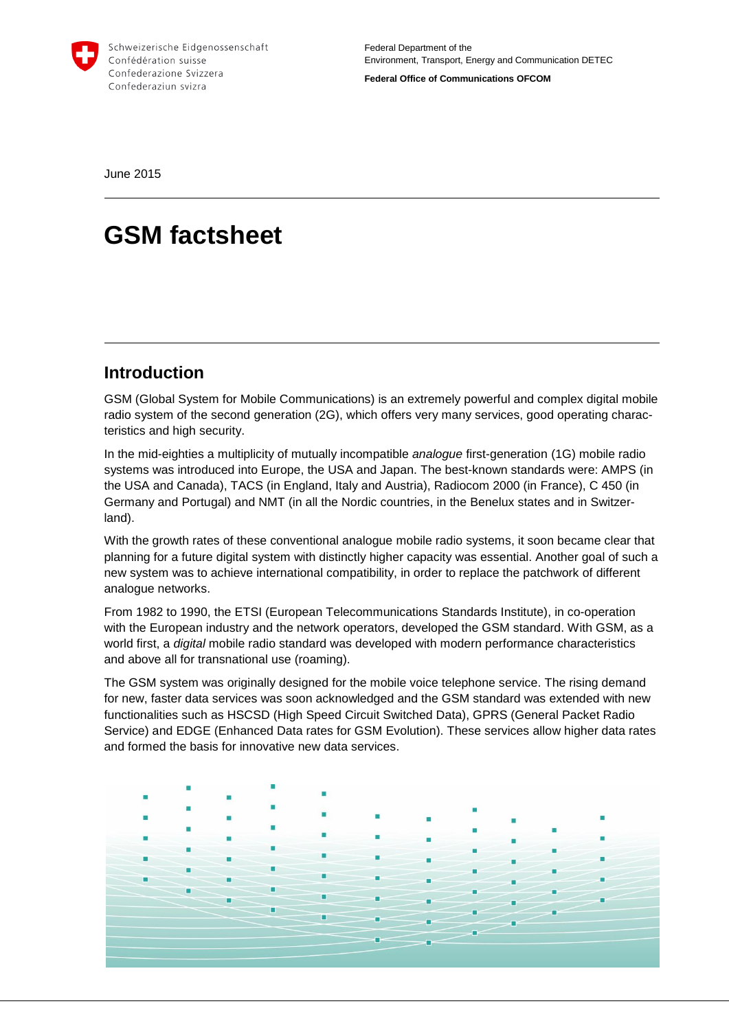

Schweizerische Eidgenossenschaft Confédération suisse Confederazione Svizzera Confederaziun svizra

**Federal Office of Communications OFCOM**

June 2015

# **GSM factsheet**

### **Introduction**

GSM (Global System for Mobile Communications) is an extremely powerful and complex digital mobile radio system of the second generation (2G), which offers very many services, good operating characteristics and high security.

In the mid-eighties a multiplicity of mutually incompatible *analogue* first-generation (1G) mobile radio systems was introduced into Europe, the USA and Japan. The best-known standards were: AMPS (in the USA and Canada), TACS (in England, Italy and Austria), Radiocom 2000 (in France), C 450 (in Germany and Portugal) and NMT (in all the Nordic countries, in the Benelux states and in Switzerland).

With the growth rates of these conventional analogue mobile radio systems, it soon became clear that planning for a future digital system with distinctly higher capacity was essential. Another goal of such a new system was to achieve international compatibility, in order to replace the patchwork of different analogue networks.

From 1982 to 1990, the ETSI (European Telecommunications Standards Institute), in co-operation with the European industry and the network operators, developed the GSM standard. With GSM, as a world first, a *digital* mobile radio standard was developed with modern performance characteristics and above all for transnational use (roaming).

The GSM system was originally designed for the mobile voice telephone service. The rising demand for new, faster data services was soon acknowledged and the GSM standard was extended with new functionalities such as HSCSD (High Speed Circuit Switched Data), GPRS (General Packet Radio Service) and EDGE (Enhanced Data rates for GSM Evolution). These services allow higher data rates and formed the basis for innovative new data services.

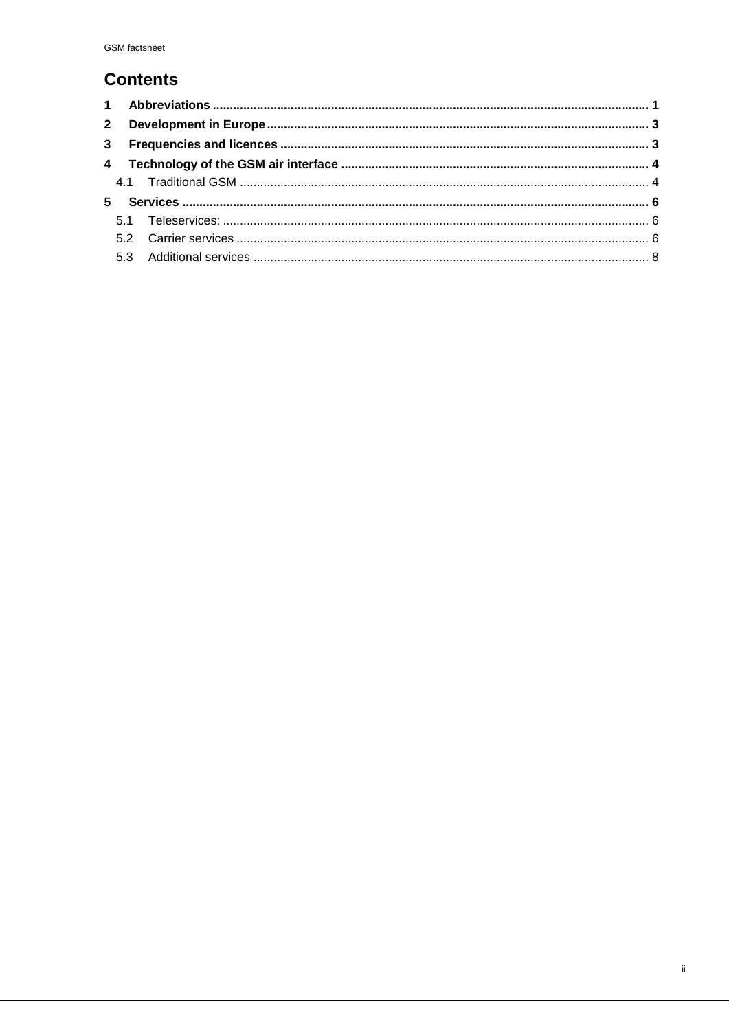# **Contents**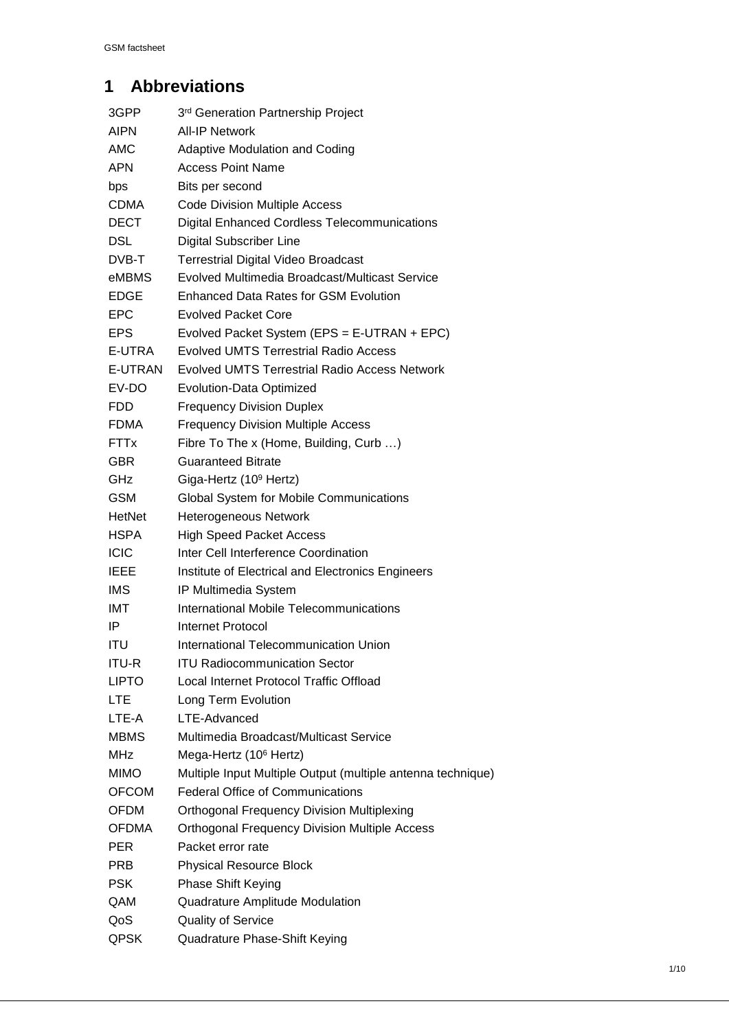# **1 Abbreviations**

| 3GPP         | 3 <sup>rd</sup> Generation Partnership Project              |
|--------------|-------------------------------------------------------------|
| AIPN         | <b>All-IP Network</b>                                       |
| AMC          | <b>Adaptive Modulation and Coding</b>                       |
| <b>APN</b>   | <b>Access Point Name</b>                                    |
| bps          | Bits per second                                             |
| CDMA         | <b>Code Division Multiple Access</b>                        |
| <b>DECT</b>  | <b>Digital Enhanced Cordless Telecommunications</b>         |
| DSL          | <b>Digital Subscriber Line</b>                              |
| DVB-T        | <b>Terrestrial Digital Video Broadcast</b>                  |
| eMBMS        | Evolved Multimedia Broadcast/Multicast Service              |
| <b>EDGE</b>  | <b>Enhanced Data Rates for GSM Evolution</b>                |
| <b>EPC</b>   | <b>Evolved Packet Core</b>                                  |
| EPS          | Evolved Packet System (EPS = E-UTRAN + EPC)                 |
| E-UTRA       | <b>Evolved UMTS Terrestrial Radio Access</b>                |
| E-UTRAN      | <b>Evolved UMTS Terrestrial Radio Access Network</b>        |
| EV-DO        | Evolution-Data Optimized                                    |
| <b>FDD</b>   | <b>Frequency Division Duplex</b>                            |
| <b>FDMA</b>  | <b>Frequency Division Multiple Access</b>                   |
| <b>FTTx</b>  | Fibre To The x (Home, Building, Curb )                      |
| <b>GBR</b>   | <b>Guaranteed Bitrate</b>                                   |
| GHz          | Giga-Hertz (10 <sup>9</sup> Hertz)                          |
| <b>GSM</b>   | Global System for Mobile Communications                     |
| HetNet       | <b>Heterogeneous Network</b>                                |
| <b>HSPA</b>  | <b>High Speed Packet Access</b>                             |
| <b>ICIC</b>  | Inter Cell Interference Coordination                        |
| <b>IEEE</b>  | Institute of Electrical and Electronics Engineers           |
| <b>IMS</b>   | IP Multimedia System                                        |
| IMT          | International Mobile Telecommunications                     |
| IP           | Internet Protocol                                           |
| <b>ITU</b>   | International Telecommunication Union                       |
| <b>ITU-R</b> | <b>ITU Radiocommunication Sector</b>                        |
| <b>LIPTO</b> | Local Internet Protocol Traffic Offload                     |
| LTE          | Long Term Evolution                                         |
| LTE-A        | LTE-Advanced                                                |
| <b>MBMS</b>  | Multimedia Broadcast/Multicast Service                      |
| <b>MHz</b>   | Mega-Hertz (10 <sup>6</sup> Hertz)                          |
| <b>MIMO</b>  | Multiple Input Multiple Output (multiple antenna technique) |
| <b>OFCOM</b> | <b>Federal Office of Communications</b>                     |
| <b>OFDM</b>  | <b>Orthogonal Frequency Division Multiplexing</b>           |
| <b>OFDMA</b> | <b>Orthogonal Frequency Division Multiple Access</b>        |
| <b>PER</b>   | Packet error rate                                           |
| <b>PRB</b>   | <b>Physical Resource Block</b>                              |
| <b>PSK</b>   | <b>Phase Shift Keying</b>                                   |
| QAM          | Quadrature Amplitude Modulation                             |
| QoS          | <b>Quality of Service</b>                                   |
| <b>QPSK</b>  | Quadrature Phase-Shift Keying                               |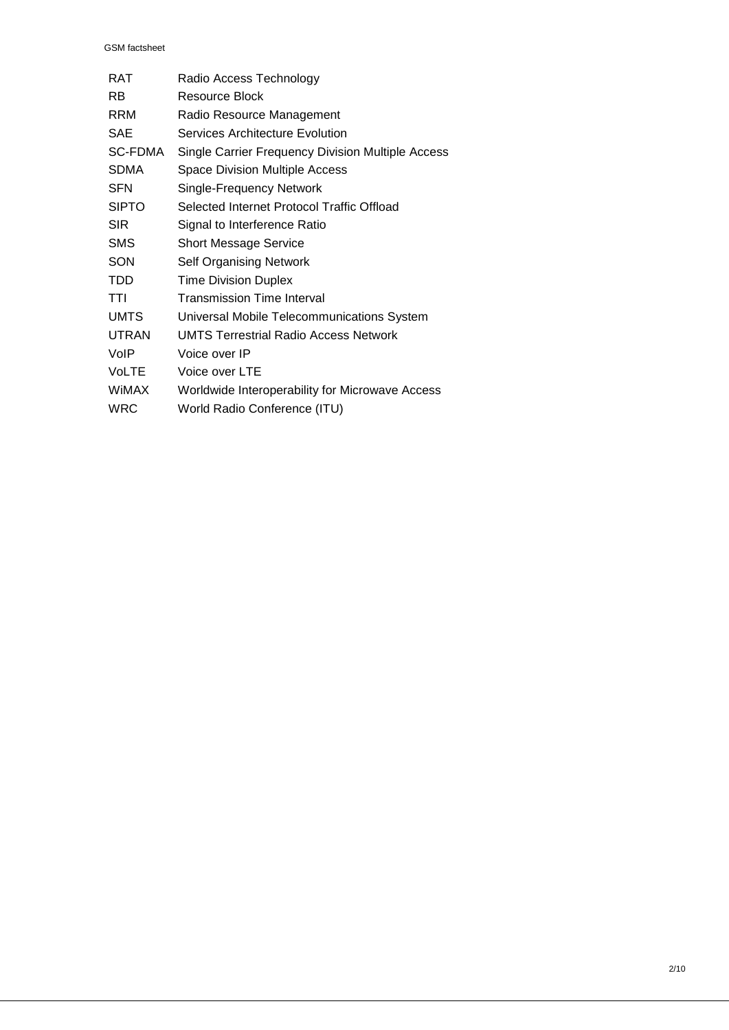GSM factsheet

| Radio Access Technology                           |
|---------------------------------------------------|
| Resource Block                                    |
| Radio Resource Management                         |
| Services Architecture Evolution                   |
| Single Carrier Frequency Division Multiple Access |
| <b>Space Division Multiple Access</b>             |
| Single-Frequency Network                          |
| Selected Internet Protocol Traffic Offload        |
| Signal to Interference Ratio                      |
| <b>Short Message Service</b>                      |
| Self Organising Network                           |
| <b>Time Division Duplex</b>                       |
| Transmission Time Interval                        |
| Universal Mobile Telecommunications System        |
| <b>UMTS Terrestrial Radio Access Network</b>      |
| Voice over IP                                     |
| Voice over LTE                                    |
| Worldwide Interoperability for Microwave Access   |
| World Radio Conference (ITU)                      |
|                                                   |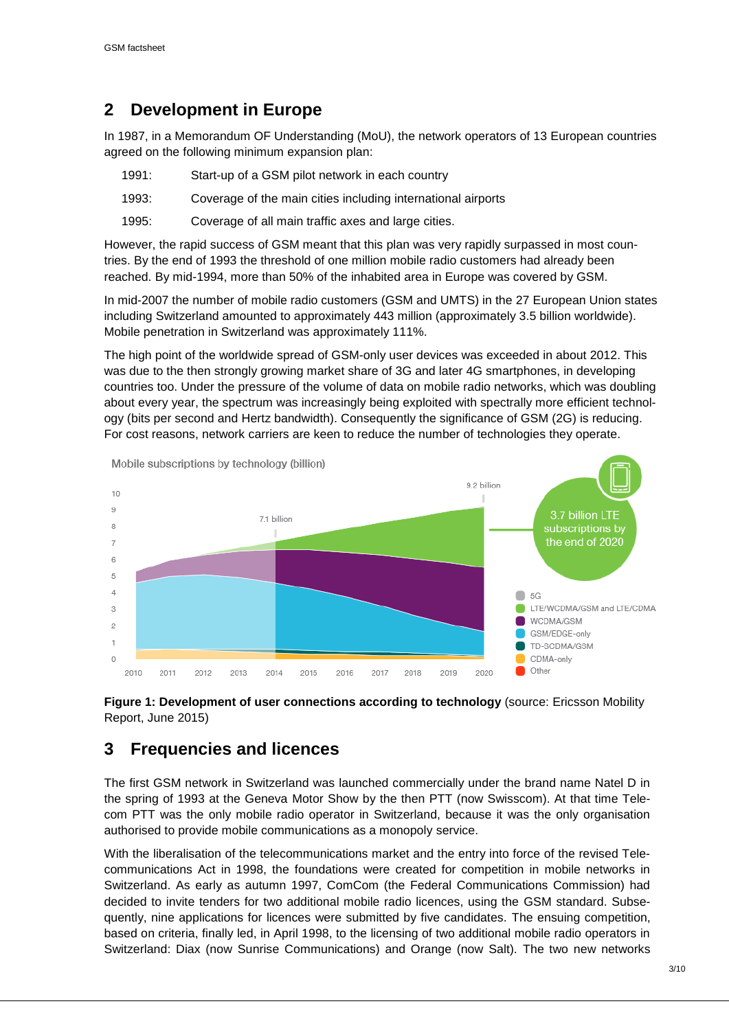# **2 Development in Europe**

In 1987, in a Memorandum OF Understanding (MoU), the network operators of 13 European countries agreed on the following minimum expansion plan:

| 1991: | Start-up of a GSM pilot network in each country              |
|-------|--------------------------------------------------------------|
| 1993: | Coverage of the main cities including international airports |
| 1995: | Coverage of all main traffic axes and large cities.          |

However, the rapid success of GSM meant that this plan was very rapidly surpassed in most countries. By the end of 1993 the threshold of one million mobile radio customers had already been reached. By mid-1994, more than 50% of the inhabited area in Europe was covered by GSM.

In mid-2007 the number of mobile radio customers (GSM and UMTS) in the 27 European Union states including Switzerland amounted to approximately 443 million (approximately 3.5 billion worldwide). Mobile penetration in Switzerland was approximately 111%.

The high point of the worldwide spread of GSM-only user devices was exceeded in about 2012. This was due to the then strongly growing market share of 3G and later 4G smartphones, in developing countries too. Under the pressure of the volume of data on mobile radio networks, which was doubling about every year, the spectrum was increasingly being exploited with spectrally more efficient technology (bits per second and Hertz bandwidth). Consequently the significance of GSM (2G) is reducing. For cost reasons, network carriers are keen to reduce the number of technologies they operate.



**Figure 1: Development of user connections according to technology** (source: Ericsson Mobility Report, June 2015)

# **3 Frequencies and licences**

The first GSM network in Switzerland was launched commercially under the brand name Natel D in the spring of 1993 at the Geneva Motor Show by the then PTT (now Swisscom). At that time Telecom PTT was the only mobile radio operator in Switzerland, because it was the only organisation authorised to provide mobile communications as a monopoly service.

With the liberalisation of the telecommunications market and the entry into force of the revised Telecommunications Act in 1998, the foundations were created for competition in mobile networks in Switzerland. As early as autumn 1997, ComCom (the Federal Communications Commission) had decided to invite tenders for two additional mobile radio licences, using the GSM standard. Subsequently, nine applications for licences were submitted by five candidates. The ensuing competition, based on criteria, finally led, in April 1998, to the licensing of two additional mobile radio operators in Switzerland: Diax (now Sunrise Communications) and Orange (now Salt). The two new networks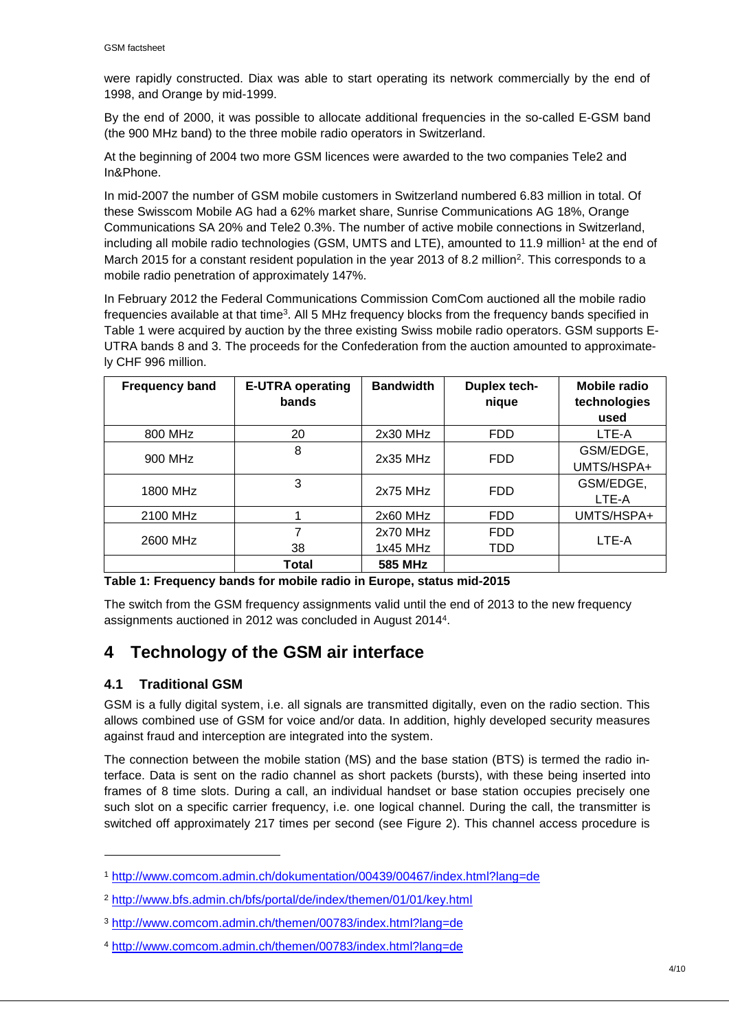were rapidly constructed. Diax was able to start operating its network commercially by the end of 1998, and Orange by mid-1999.

By the end of 2000, it was possible to allocate additional frequencies in the so-called E-GSM band (the 900 MHz band) to the three mobile radio operators in Switzerland.

At the beginning of 2004 two more GSM licences were awarded to the two companies Tele2 and In&Phone.

In mid-2007 the number of GSM mobile customers in Switzerland numbered 6.83 million in total. Of these Swisscom Mobile AG had a 62% market share, Sunrise Communications AG 18%, Orange Communications SA 20% and Tele2 0.3%. The number of active mobile connections in Switzerland, including all mobile radio technologies (GSM, UMTS and LTE), amounted to 11.9 million<sup>1</sup> at the end of March 2015 for a constant resident population in the year 2013 of 8.2 million<sup>2</sup>. This corresponds to a mobile radio penetration of approximately 147%.

In February 2012 the Federal Communications Commission ComCom auctioned all the mobile radio frequencies available at that time<sup>3</sup>. All 5 MHz frequency blocks from the frequency bands specified in Table 1 were acquired by auction by the three existing Swiss mobile radio operators. GSM supports E-UTRA bands 8 and 3. The proceeds for the Confederation from the auction amounted to approximately CHF 996 million.

| <b>Frequency band</b> | <b>E-UTRA operating</b><br>bands | <b>Bandwidth</b>         | Duplex tech-<br>nique    | Mobile radio<br>technologies<br>used |
|-----------------------|----------------------------------|--------------------------|--------------------------|--------------------------------------|
| 800 MHz               | 20                               | 2x30 MHz                 | <b>FDD</b>               | LTE-A                                |
| 900 MHz               | 8                                | $2x35$ MHz               | <b>FDD</b>               | GSM/EDGE,<br>UMTS/HSPA+              |
| 1800 MHz              | 3                                | 2x75 MHz                 | <b>FDD</b>               | GSM/EDGE,<br>LTE-A                   |
| 2100 MHz              |                                  | $2x60$ MHz               | <b>FDD</b>               | UMTS/HSPA+                           |
| 2600 MHz              | 7<br>38                          | $2x70$ MHz<br>$1x45$ MHz | <b>FDD</b><br><b>TDD</b> | LTE-A                                |
|                       | Total                            | 585 MHz                  |                          |                                      |

#### **Table 1: Frequency bands for mobile radio in Europe, status mid-2015**

The switch from the GSM frequency assignments valid until the end of 2013 to the new frequency assignments auctioned in 2012 was concluded in August 2014<sup>4</sup> .

## **4 Technology of the GSM air interface**

### **4.1 Traditional GSM**

1

GSM is a fully digital system, i.e. all signals are transmitted digitally, even on the radio section. This allows combined use of GSM for voice and/or data. In addition, highly developed security measures against fraud and interception are integrated into the system.

The connection between the mobile station (MS) and the base station (BTS) is termed the radio interface. Data is sent on the radio channel as short packets (bursts), with these being inserted into frames of 8 time slots. During a call, an individual handset or base station occupies precisely one such slot on a specific carrier frequency, i.e. one logical channel. During the call, the transmitter is switched off approximately 217 times per second (see Figure 2). This channel access procedure is

<sup>1</sup> http://www.comcom.admin.ch/dokumentation/00439/00467/index.html?lang=de

<sup>2</sup> http://www.bfs.admin.ch/bfs/portal/de/index/themen/01/01/key.html

<sup>3</sup> http://www.comcom.admin.ch/themen/00783/index.html?lang=de

<sup>4</sup> http://www.comcom.admin.ch/themen/00783/index.html?lang=de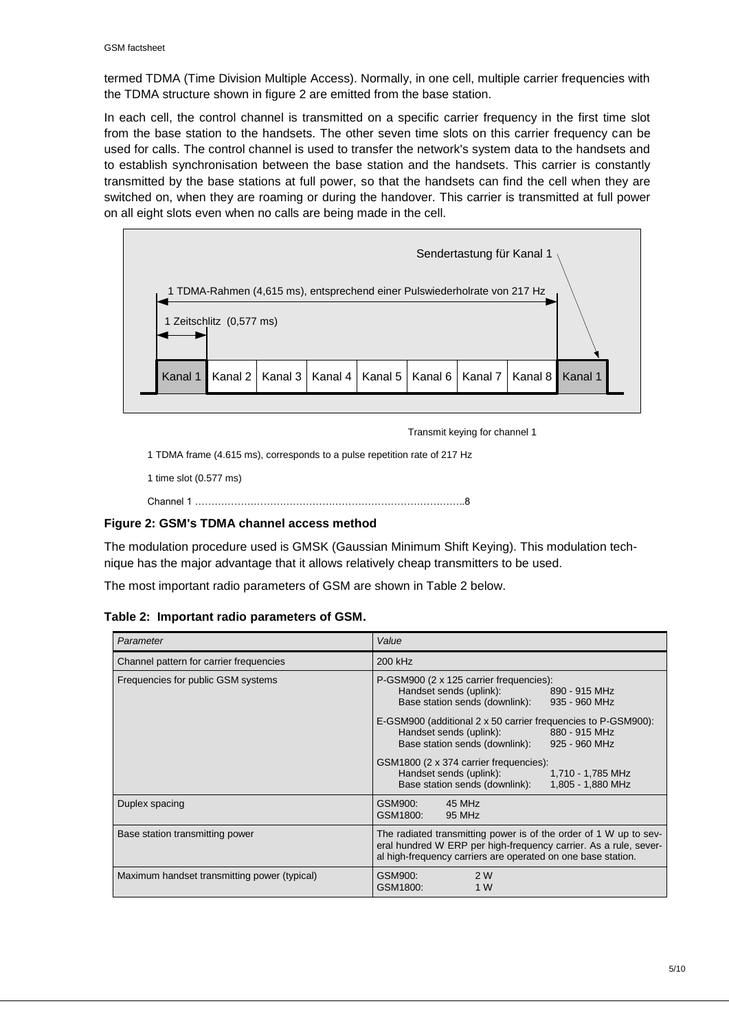termed TDMA (Time Division Multiple Access). Normally, in one cell, multiple carrier frequencies with the TDMA structure shown in figure 2 are emitted from the base station.

In each cell, the control channel is transmitted on a specific carrier frequency in the first time slot from the base station to the handsets. The other seven time slots on this carrier frequency can be used for calls. The control channel is used to transfer the network's system data to the handsets and to establish synchronisation between the base station and the handsets. This carrier is constantly transmitted by the base stations at full power, so that the handsets can find the cell when they are switched on, when they are roaming or during the handover. This carrier is transmitted at full power on all eight slots even when no calls are being made in the cell.



Transmit keying for channel 1

1 TDMA frame (4.615 ms), corresponds to a pulse repetition rate of 217 Hz

1 time slot (0.577 ms)

```
Channel 1 ………………………………………………………………………..8
```
#### **Figure 2: GSM's TDMA channel access method**

The modulation procedure used is GMSK (Gaussian Minimum Shift Keying). This modulation technique has the major advantage that it allows relatively cheap transmitters to be used.

The most important radio parameters of GSM are shown in Table 2 below.

#### **Table 2: Important radio parameters of GSM.**

| Parameter                                    | Value                                                                                                                                                                                                                                                                                                                                                                                                                                          |  |  |  |
|----------------------------------------------|------------------------------------------------------------------------------------------------------------------------------------------------------------------------------------------------------------------------------------------------------------------------------------------------------------------------------------------------------------------------------------------------------------------------------------------------|--|--|--|
| Channel pattern for carrier frequencies      | 200 kHz                                                                                                                                                                                                                                                                                                                                                                                                                                        |  |  |  |
| Frequencies for public GSM systems           | P-GSM900 (2 x 125 carrier frequencies):<br>Handset sends (uplink): 890 - 915 MHz<br>Base station sends (downlink): 935 - 960 MHz<br>E-GSM900 (additional 2 x 50 carrier frequencies to P-GSM900):<br>Handset sends (uplink):<br>880 - 915 MHz<br>Base station sends (downlink): 925 - 960 MHz<br>GSM1800 (2 x 374 carrier frequencies):<br>Handset sends (uplink):<br>1,710 - 1,785 MHz<br>Base station sends (downlink):<br>1,805 - 1,880 MHz |  |  |  |
| Duplex spacing                               | 45 MHz<br>GSM900:<br>GSM1800:<br>95 MHz                                                                                                                                                                                                                                                                                                                                                                                                        |  |  |  |
| Base station transmitting power              | The radiated transmitting power is of the order of 1 W up to sev-<br>eral hundred W ERP per high-frequency carrier. As a rule, sever-<br>al high-frequency carriers are operated on one base station.                                                                                                                                                                                                                                          |  |  |  |
| Maximum handset transmitting power (typical) | GSM900:<br>2 W<br>GSM1800:<br>1 W                                                                                                                                                                                                                                                                                                                                                                                                              |  |  |  |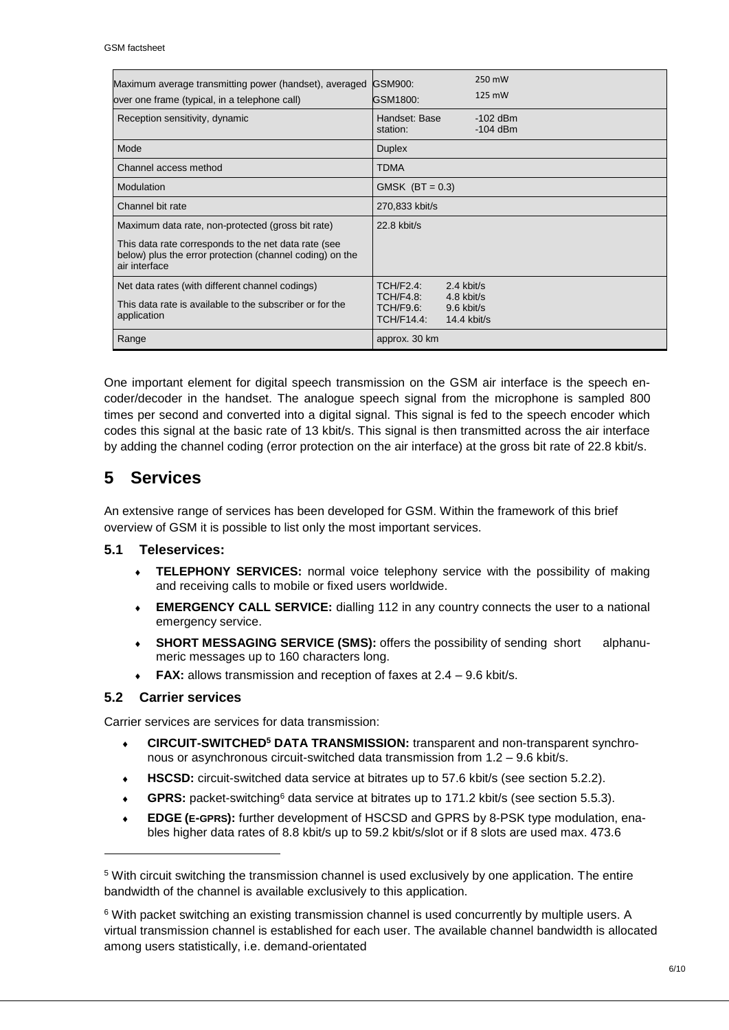| Maximum average transmitting power (handset), averaged<br>over one frame (typical, in a telephone call)                                                                                | GSM900:<br>GSM1800:                                      | 250 mW<br>125 mW                                        |  |
|----------------------------------------------------------------------------------------------------------------------------------------------------------------------------------------|----------------------------------------------------------|---------------------------------------------------------|--|
| Reception sensitivity, dynamic                                                                                                                                                         | Handset: Base<br>station:                                | $-102$ dBm<br>$-104$ dBm                                |  |
| Mode                                                                                                                                                                                   | <b>Duplex</b>                                            |                                                         |  |
| Channel access method                                                                                                                                                                  | <b>TDMA</b>                                              |                                                         |  |
| Modulation                                                                                                                                                                             | GMSK $(BT = 0.3)$                                        |                                                         |  |
| Channel bit rate                                                                                                                                                                       | 270,833 kbit/s                                           |                                                         |  |
| Maximum data rate, non-protected (gross bit rate)<br>This data rate corresponds to the net data rate (see<br>below) plus the error protection (channel coding) on the<br>air interface | $22.8$ kbit/s                                            |                                                         |  |
| Net data rates (with different channel codings)<br>This data rate is available to the subscriber or for the<br>application                                                             | <b>TCH/F2.4:</b><br>TCH/F4.8:<br>TCH/F9.6:<br>TCH/F14.4: | $2.4$ kbit/s<br>4.8 kbit/s<br>9.6 kbit/s<br>14.4 kbit/s |  |
| Range                                                                                                                                                                                  | approx. 30 km                                            |                                                         |  |

One important element for digital speech transmission on the GSM air interface is the speech encoder/decoder in the handset. The analogue speech signal from the microphone is sampled 800 times per second and converted into a digital signal. This signal is fed to the speech encoder which codes this signal at the basic rate of 13 kbit/s. This signal is then transmitted across the air interface by adding the channel coding (error protection on the air interface) at the gross bit rate of 22.8 kbit/s.

# **5 Services**

An extensive range of services has been developed for GSM. Within the framework of this brief overview of GSM it is possible to list only the most important services.

### **5.1 Teleservices:**

- **TELEPHONY SERVICES:** normal voice telephony service with the possibility of making and receiving calls to mobile or fixed users worldwide.
- **EMERGENCY CALL SERVICE:** dialling 112 in any country connects the user to a national emergency service.
- **SHORT MESSAGING SERVICE (SMS):** offers the possibility of sending short alphanumeric messages up to 160 characters long.
- **FAX:** allows transmission and reception of faxes at 2.4 9.6 kbit/s.

### **5.2 Carrier services**

-

Carrier services are services for data transmission:

- **CIRCUIT-SWITCHED<sup>5</sup> DATA TRANSMISSION:** transparent and non-transparent synchronous or asynchronous circuit-switched data transmission from 1.2 – 9.6 kbit/s.
- **HSCSD:** circuit-switched data service at bitrates up to 57.6 kbit/s (see section 5.2.2).
- **GPRS:** packet-switching<sup>6</sup> data service at bitrates up to 171.2 kbit/s (see section 5.5.3).
- **EDGE (E-GPRS):** further development of HSCSD and GPRS by 8-PSK type modulation, enables higher data rates of 8.8 kbit/s up to 59.2 kbit/s/slot or if 8 slots are used max. 473.6

<sup>5</sup> With circuit switching the transmission channel is used exclusively by one application. The entire bandwidth of the channel is available exclusively to this application.

<sup>6</sup> With packet switching an existing transmission channel is used concurrently by multiple users. A virtual transmission channel is established for each user. The available channel bandwidth is allocated among users statistically, i.e. demand-orientated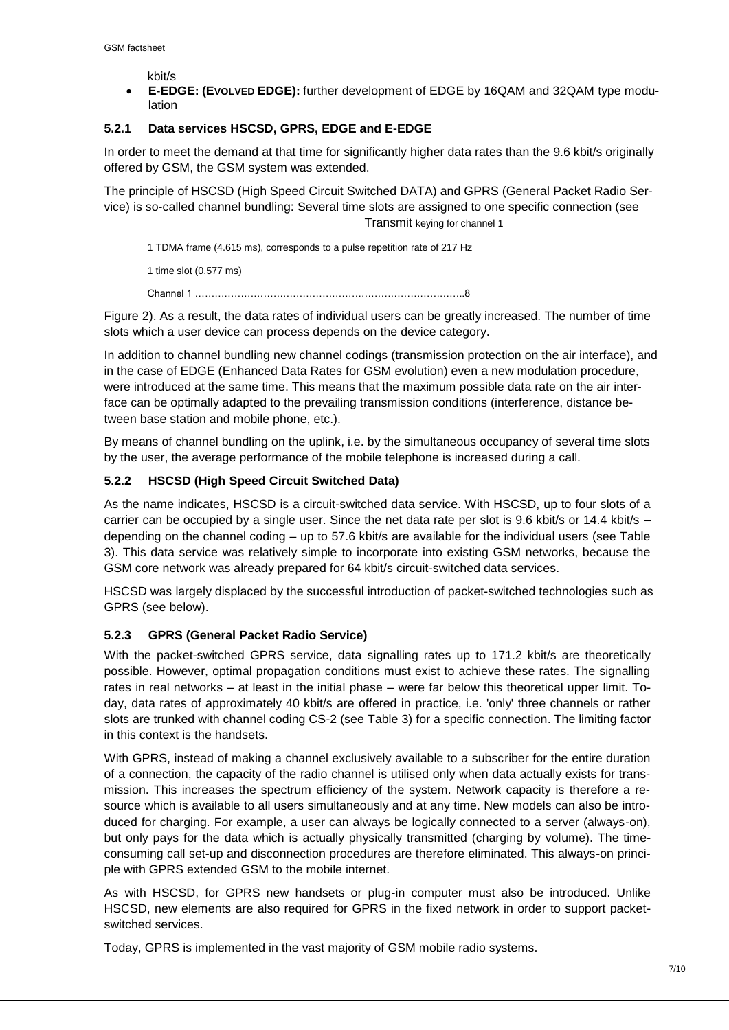kbit/s

 **E-EDGE: (EVOLVED EDGE):** further development of EDGE by 16QAM and 32QAM type modulation

### **5.2.1 Data services HSCSD, GPRS, EDGE and E-EDGE**

In order to meet the demand at that time for significantly higher data rates than the 9.6 kbit/s originally offered by GSM, the GSM system was extended.

The principle of HSCSD (High Speed Circuit Switched DATA) and GPRS (General Packet Radio Service) is so-called channel bundling: Several time slots are assigned to one specific connection (see Transmit keying for channel 1

1 TDMA frame (4.615 ms), corresponds to a pulse repetition rate of 217 Hz

1 time slot (0.577 ms)

Channel 1 ………………………………………………………………………..8

Figure 2). As a result, the data rates of individual users can be greatly increased. The number of time slots which a user device can process depends on the device category.

In addition to channel bundling new channel codings (transmission protection on the air interface), and in the case of EDGE (Enhanced Data Rates for GSM evolution) even a new modulation procedure, were introduced at the same time. This means that the maximum possible data rate on the air interface can be optimally adapted to the prevailing transmission conditions (interference, distance between base station and mobile phone, etc.).

By means of channel bundling on the uplink, i.e. by the simultaneous occupancy of several time slots by the user, the average performance of the mobile telephone is increased during a call.

### **5.2.2 HSCSD (High Speed Circuit Switched Data)**

As the name indicates, HSCSD is a circuit-switched data service. With HSCSD, up to four slots of a carrier can be occupied by a single user. Since the net data rate per slot is 9.6 kbit/s or 14.4 kbit/s – depending on the channel coding – up to 57.6 kbit/s are available for the individual users (see Table 3). This data service was relatively simple to incorporate into existing GSM networks, because the GSM core network was already prepared for 64 kbit/s circuit-switched data services.

HSCSD was largely displaced by the successful introduction of packet-switched technologies such as GPRS (see below).

### **5.2.3 GPRS (General Packet Radio Service)**

With the packet-switched GPRS service, data signalling rates up to 171.2 kbit/s are theoretically possible. However, optimal propagation conditions must exist to achieve these rates. The signalling rates in real networks – at least in the initial phase – were far below this theoretical upper limit. Today, data rates of approximately 40 kbit/s are offered in practice, i.e. 'only' three channels or rather slots are trunked with channel coding CS-2 (see Table 3) for a specific connection. The limiting factor in this context is the handsets.

With GPRS, instead of making a channel exclusively available to a subscriber for the entire duration of a connection, the capacity of the radio channel is utilised only when data actually exists for transmission. This increases the spectrum efficiency of the system. Network capacity is therefore a resource which is available to all users simultaneously and at any time. New models can also be introduced for charging. For example, a user can always be logically connected to a server (always-on), but only pays for the data which is actually physically transmitted (charging by volume). The timeconsuming call set-up and disconnection procedures are therefore eliminated. This always-on principle with GPRS extended GSM to the mobile internet.

As with HSCSD, for GPRS new handsets or plug-in computer must also be introduced. Unlike HSCSD, new elements are also required for GPRS in the fixed network in order to support packetswitched services.

Today, GPRS is implemented in the vast majority of GSM mobile radio systems.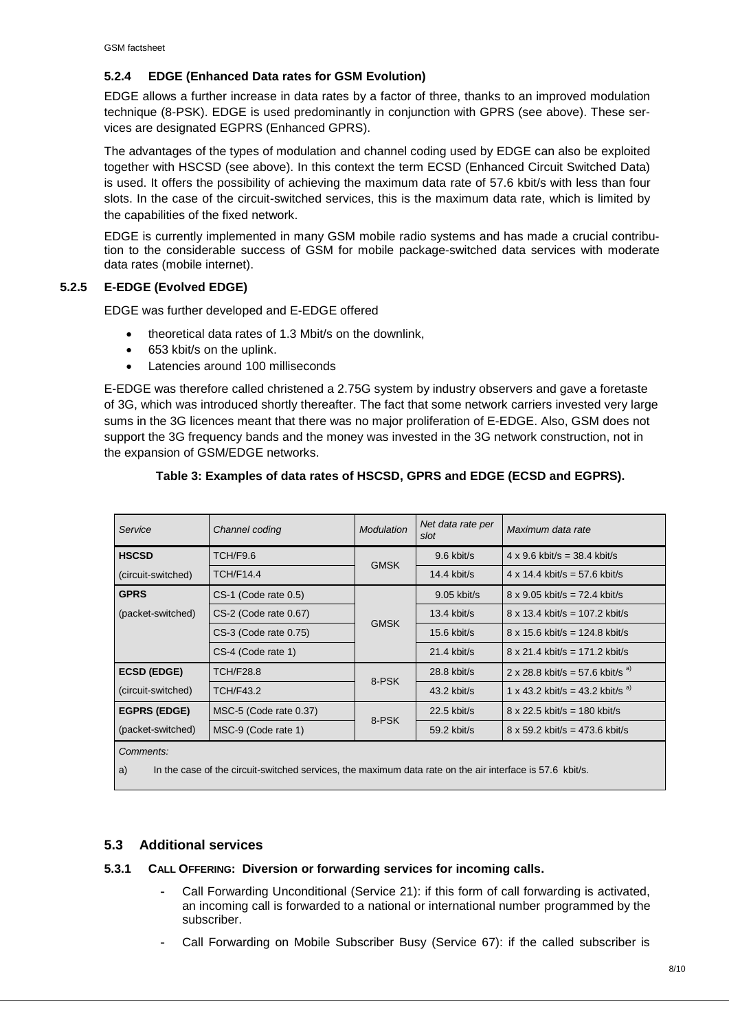#### **5.2.4 EDGE (Enhanced Data rates for GSM Evolution)**

EDGE allows a further increase in data rates by a factor of three, thanks to an improved modulation technique (8-PSK). EDGE is used predominantly in conjunction with GPRS (see above). These services are designated EGPRS (Enhanced GPRS).

The advantages of the types of modulation and channel coding used by EDGE can also be exploited together with HSCSD (see above). In this context the term ECSD (Enhanced Circuit Switched Data) is used. It offers the possibility of achieving the maximum data rate of 57.6 kbit/s with less than four slots. In the case of the circuit-switched services, this is the maximum data rate, which is limited by the capabilities of the fixed network.

EDGE is currently implemented in many GSM mobile radio systems and has made a crucial contribution to the considerable success of GSM for mobile package-switched data services with moderate data rates (mobile internet).

#### **5.2.5 E-EDGE (Evolved EDGE)**

EDGE was further developed and E-EDGE offered

- theoretical data rates of 1.3 Mbit/s on the downlink,
- 653 kbit/s on the uplink.
- Latencies around 100 milliseconds

E-EDGE was therefore called christened a 2.75G system by industry observers and gave a foretaste of 3G, which was introduced shortly thereafter. The fact that some network carriers invested very large sums in the 3G licences meant that there was no major proliferation of E-EDGE. Also, GSM does not support the 3G frequency bands and the money was invested in the 3G network construction, not in the expansion of GSM/EDGE networks.

| Service             | Channel coding         | <b>Modulation</b> | Net data rate per<br>slot | Maximum data rate                       |
|---------------------|------------------------|-------------------|---------------------------|-----------------------------------------|
| <b>HSCSD</b>        | TCH/F9.6               | <b>GMSK</b>       | $9.6$ kbit/s              | $4 \times 9.6$ kbit/s = 38.4 kbit/s     |
| (circuit-switched)  | <b>TCH/F14.4</b>       |                   | $14.4$ kbit/s             | $4 \times 14.4$ kbit/s = 57.6 kbit/s    |
| <b>GPRS</b>         | CS-1 (Code rate 0.5)   | <b>GMSK</b>       | 9.05 kbit/s               | $8 \times 9.05$ kbit/s = 72.4 kbit/s    |
| (packet-switched)   | CS-2 (Code rate 0.67)  |                   | $13.4$ kbit/s             | $8 \times 13.4$ kbit/s = 107.2 kbit/s   |
|                     | CS-3 (Code rate 0.75)  |                   | $15.6$ kbit/s             | $8 \times 15.6$ kbit/s = 124.8 kbit/s   |
|                     | CS-4 (Code rate 1)     |                   | 21.4 kbit/s               | $8 \times 21.4$ kbit/s = 171.2 kbit/s   |
| <b>ECSD (EDGE)</b>  | TCH/F28.8              | 8-PSK             | 28.8 kbit/s               | 2 x 28.8 kbit/s = 57.6 kbit/s $a^{(3)}$ |
| (circuit-switched)  | <b>TCH/F43.2</b>       |                   | 43.2 kbit/s               | 1 x 43.2 kbit/s = 43.2 kbit/s $a^{(3)}$ |
| <b>EGPRS (EDGE)</b> | MSC-5 (Code rate 0.37) | 8-PSK             | 22.5 kbit/s               | $8 \times 22.5$ kbit/s = 180 kbit/s     |
| (packet-switched)   | MSC-9 (Code rate 1)    |                   | 59.2 kbit/s               | $8 \times 59.2$ kbit/s = 473.6 kbit/s   |
| Common for          |                        |                   |                           |                                         |

### **Table 3: Examples of data rates of HSCSD, GPRS and EDGE (ECSD and EGPRS).**

*Comments:*

a) In the case of the circuit-switched services, the maximum data rate on the air interface is 57.6 kbit/s.

#### **5.3 Additional services**

#### **5.3.1 CALL OFFERING: Diversion or forwarding services for incoming calls.**

- **-** Call Forwarding Unconditional (Service 21): if this form of call forwarding is activated, an incoming call is forwarded to a national or international number programmed by the subscriber.
- **-** Call Forwarding on Mobile Subscriber Busy (Service 67): if the called subscriber is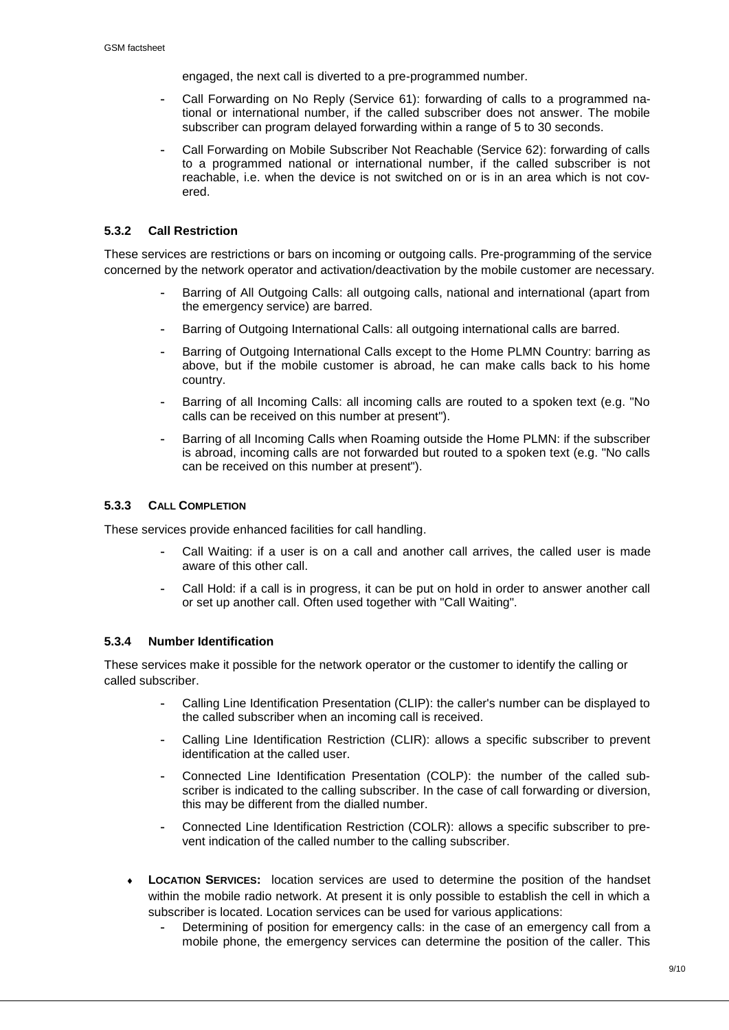engaged, the next call is diverted to a pre-programmed number.

- **-** Call Forwarding on No Reply (Service 61): forwarding of calls to a programmed national or international number, if the called subscriber does not answer. The mobile subscriber can program delayed forwarding within a range of 5 to 30 seconds.
- **-** Call Forwarding on Mobile Subscriber Not Reachable (Service 62): forwarding of calls to a programmed national or international number, if the called subscriber is not reachable, i.e. when the device is not switched on or is in an area which is not covered.

#### **5.3.2 Call Restriction**

These services are restrictions or bars on incoming or outgoing calls. Pre-programming of the service concerned by the network operator and activation/deactivation by the mobile customer are necessary.

- **-** Barring of All Outgoing Calls: all outgoing calls, national and international (apart from the emergency service) are barred.
- **-** Barring of Outgoing International Calls: all outgoing international calls are barred.
- **-** Barring of Outgoing International Calls except to the Home PLMN Country: barring as above, but if the mobile customer is abroad, he can make calls back to his home country.
- **-** Barring of all Incoming Calls: all incoming calls are routed to a spoken text (e.g. "No calls can be received on this number at present").
- **-** Barring of all Incoming Calls when Roaming outside the Home PLMN: if the subscriber is abroad, incoming calls are not forwarded but routed to a spoken text (e.g. "No calls can be received on this number at present").

#### **5.3.3 CALL COMPLETION**

These services provide enhanced facilities for call handling.

- **-** Call Waiting: if a user is on a call and another call arrives, the called user is made aware of this other call.
- **-** Call Hold: if a call is in progress, it can be put on hold in order to answer another call or set up another call. Often used together with "Call Waiting".

#### **5.3.4 Number Identification**

These services make it possible for the network operator or the customer to identify the calling or called subscriber.

- **-** Calling Line Identification Presentation (CLIP): the caller's number can be displayed to the called subscriber when an incoming call is received.
- **-** Calling Line Identification Restriction (CLIR): allows a specific subscriber to prevent identification at the called user.
- **-** Connected Line Identification Presentation (COLP): the number of the called subscriber is indicated to the calling subscriber. In the case of call forwarding or diversion, this may be different from the dialled number.
- **-** Connected Line Identification Restriction (COLR): allows a specific subscriber to prevent indication of the called number to the calling subscriber.
- **LOCATION SERVICES:** location services are used to determine the position of the handset within the mobile radio network. At present it is only possible to establish the cell in which a subscriber is located. Location services can be used for various applications:
	- **-** Determining of position for emergency calls: in the case of an emergency call from a mobile phone, the emergency services can determine the position of the caller. This